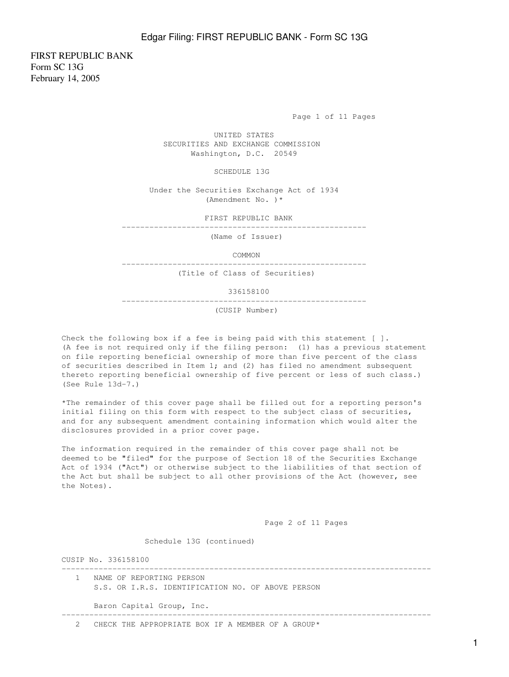FIRST REPUBLIC BANK Form SC 13G February 14, 2005

Page 1 of 11 Pages

 UNITED STATES SECURITIES AND EXCHANGE COMMISSION Washington, D.C. 20549

SCHEDULE 13G

 Under the Securities Exchange Act of 1934 (Amendment No. )\*

FIRST REPUBLIC BANK

-----------------------------------------------------

(Name of Issuer)

COMMON

-----------------------------------------------------

(Title of Class of Securities)

336158100

-----------------------------------------------------

(CUSIP Number)

Check the following box if a fee is being paid with this statement [ ]. (A fee is not required only if the filing person: (1) has a previous statement on file reporting beneficial ownership of more than five percent of the class of securities described in Item 1; and (2) has filed no amendment subsequent thereto reporting beneficial ownership of five percent or less of such class.) (See Rule 13d-7.)

\*The remainder of this cover page shall be filled out for a reporting person's initial filing on this form with respect to the subject class of securities, and for any subsequent amendment containing information which would alter the disclosures provided in a prior cover page.

The information required in the remainder of this cover page shall not be deemed to be "filed" for the purpose of Section 18 of the Securities Exchange Act of 1934 ("Act") or otherwise subject to the liabilities of that section of the Act but shall be subject to all other provisions of the Act (however, see the Notes).

Page 2 of 11 Pages

Schedule 13G (continued)

CUSIP No. 336158100

-------------------------------------------------------------------------------- 1 NAME OF REPORTING PERSON S.S. OR I.R.S. IDENTIFICATION NO. OF ABOVE PERSON Baron Capital Group, Inc. -------------------------------------------------------------------------------- 2 CHECK THE APPROPRIATE BOX IF A MEMBER OF A GROUP\*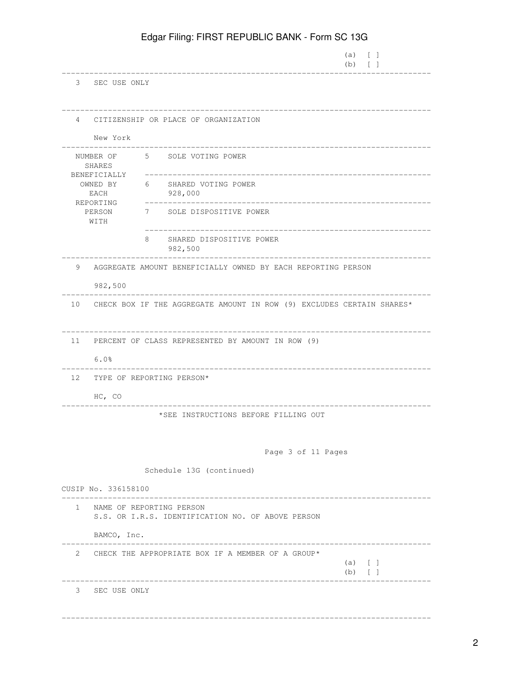|                                                                                  |                                                                                 |                                                                          | $(a) \quad \lceil \quad \rceil$<br>$(b)$ [ ] |  |  |  |
|----------------------------------------------------------------------------------|---------------------------------------------------------------------------------|--------------------------------------------------------------------------|----------------------------------------------|--|--|--|
| 3                                                                                | SEC USE ONLY                                                                    |                                                                          |                                              |  |  |  |
| $4\phantom{0}$                                                                   |                                                                                 | CITIZENSHIP OR PLACE OF ORGANIZATION                                     |                                              |  |  |  |
|                                                                                  | New York                                                                        |                                                                          |                                              |  |  |  |
| <b>SHARES</b><br>BENEFICIALLY<br>OWNED BY<br>EACH<br>REPORTING<br>PERSON<br>WITH |                                                                                 | NUMBER OF 5 SOLE VOTING POWER                                            |                                              |  |  |  |
|                                                                                  |                                                                                 | 6 SHARED VOTING POWER<br>928,000<br>_________________                    |                                              |  |  |  |
|                                                                                  |                                                                                 | 7 SOLE DISPOSITIVE POWER                                                 |                                              |  |  |  |
|                                                                                  |                                                                                 | 8<br>SHARED DISPOSITIVE POWER<br>982,500                                 |                                              |  |  |  |
| 9                                                                                |                                                                                 | AGGREGATE AMOUNT BENEFICIALLY OWNED BY EACH REPORTING PERSON             |                                              |  |  |  |
|                                                                                  | 982,500                                                                         |                                                                          |                                              |  |  |  |
|                                                                                  |                                                                                 | 10 CHECK BOX IF THE AGGREGATE AMOUNT IN ROW (9) EXCLUDES CERTAIN SHARES* |                                              |  |  |  |
| 11                                                                               |                                                                                 | PERCENT OF CLASS REPRESENTED BY AMOUNT IN ROW (9)                        |                                              |  |  |  |
|                                                                                  | 6.0%                                                                            |                                                                          |                                              |  |  |  |
| 12                                                                               | TYPE OF REPORTING PERSON*                                                       |                                                                          |                                              |  |  |  |
|                                                                                  | HC, CO                                                                          |                                                                          |                                              |  |  |  |
|                                                                                  |                                                                                 | *SEE INSTRUCTIONS BEFORE FILLING OUT                                     |                                              |  |  |  |
|                                                                                  |                                                                                 | Page 3 of 11 Pages                                                       |                                              |  |  |  |
|                                                                                  |                                                                                 | Schedule 13G (continued)                                                 |                                              |  |  |  |
|                                                                                  | CUSIP No. 336158100                                                             |                                                                          |                                              |  |  |  |
|                                                                                  | 1 NAME OF REPORTING PERSON<br>S.S. OR I.R.S. IDENTIFICATION NO. OF ABOVE PERSON |                                                                          |                                              |  |  |  |
|                                                                                  | BAMCO, Inc.                                                                     |                                                                          | ----------------------                       |  |  |  |
|                                                                                  |                                                                                 | 2 CHECK THE APPROPRIATE BOX IF A MEMBER OF A GROUP*                      | $(a)$ [ ]<br>$(b)$ [ ]                       |  |  |  |
|                                                                                  | 3 SEC USE ONLY                                                                  |                                                                          |                                              |  |  |  |
|                                                                                  |                                                                                 |                                                                          |                                              |  |  |  |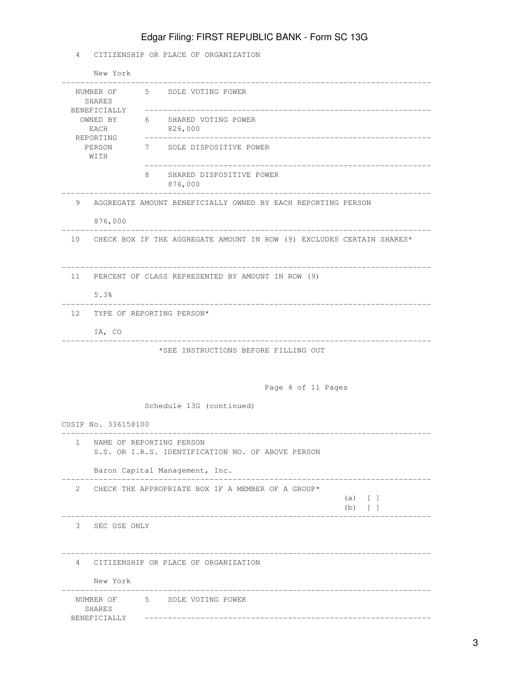4 CITIZENSHIP OR PLACE OF ORGANIZATION

|                                                         | New York                                                                      |   |                                                                           |  |  |  |  |                    |  |                        |  |
|---------------------------------------------------------|-------------------------------------------------------------------------------|---|---------------------------------------------------------------------------|--|--|--|--|--------------------|--|------------------------|--|
| NUMBER OF<br>SHARES<br>BENEFICIALLY<br>OWNED BY<br>EACH |                                                                               |   | 5 SOLE VOTING POWER                                                       |  |  |  |  |                    |  |                        |  |
|                                                         |                                                                               |   | 6 SHARED VOTING POWER<br>826,000                                          |  |  |  |  |                    |  |                        |  |
|                                                         | REPORTING<br>PERSON<br>WITH                                                   |   | _____________________<br>7 SOLE DISPOSITIVE POWER<br>____________________ |  |  |  |  |                    |  |                        |  |
|                                                         |                                                                               | 8 | SHARED DISPOSITIVE POWER<br>876,000                                       |  |  |  |  |                    |  |                        |  |
| 9                                                       | AGGREGATE AMOUNT BENEFICIALLY OWNED BY EACH REPORTING PERSON                  |   |                                                                           |  |  |  |  |                    |  |                        |  |
|                                                         | 876,000                                                                       |   |                                                                           |  |  |  |  |                    |  |                        |  |
|                                                         | 10 CHECK BOX IF THE AGGREGATE AMOUNT IN ROW (9) EXCLUDES CERTAIN SHARES*      |   |                                                                           |  |  |  |  |                    |  |                        |  |
| 11                                                      | PERCENT OF CLASS REPRESENTED BY AMOUNT IN ROW (9)                             |   |                                                                           |  |  |  |  |                    |  |                        |  |
|                                                         | 5.3%                                                                          |   |                                                                           |  |  |  |  |                    |  |                        |  |
|                                                         | 12 TYPE OF REPORTING PERSON*                                                  |   |                                                                           |  |  |  |  |                    |  |                        |  |
|                                                         | IA, CO                                                                        |   |                                                                           |  |  |  |  |                    |  |                        |  |
|                                                         |                                                                               |   | *SEE INSTRUCTIONS BEFORE FILLING OUT                                      |  |  |  |  |                    |  |                        |  |
|                                                         |                                                                               |   |                                                                           |  |  |  |  | Page 4 of 11 Pages |  |                        |  |
|                                                         |                                                                               |   | Schedule 13G (continued)                                                  |  |  |  |  |                    |  |                        |  |
|                                                         | CUSIP No. 336158100                                                           |   |                                                                           |  |  |  |  |                    |  |                        |  |
| $\mathbf{1}$                                            | NAME OF REPORTING PERSON<br>S.S. OR I.R.S. IDENTIFICATION NO. OF ABOVE PERSON |   |                                                                           |  |  |  |  |                    |  |                        |  |
|                                                         | Baron Capital Management, Inc.                                                |   |                                                                           |  |  |  |  |                    |  |                        |  |
| 2                                                       | CHECK THE APPROPRIATE BOX IF A MEMBER OF A GROUP*                             |   |                                                                           |  |  |  |  |                    |  | $(a)$ [ ]<br>$(b)$ [ ] |  |
| 3                                                       | SEC USE ONLY                                                                  |   |                                                                           |  |  |  |  |                    |  |                        |  |
|                                                         | 4 CITIZENSHIP OR PLACE OF ORGANIZATION<br>New York                            |   |                                                                           |  |  |  |  |                    |  |                        |  |
|                                                         | NUMBER OF 5 SOLE VOTING POWER<br>SHARES<br>BENEFICIALLY                       |   |                                                                           |  |  |  |  |                    |  |                        |  |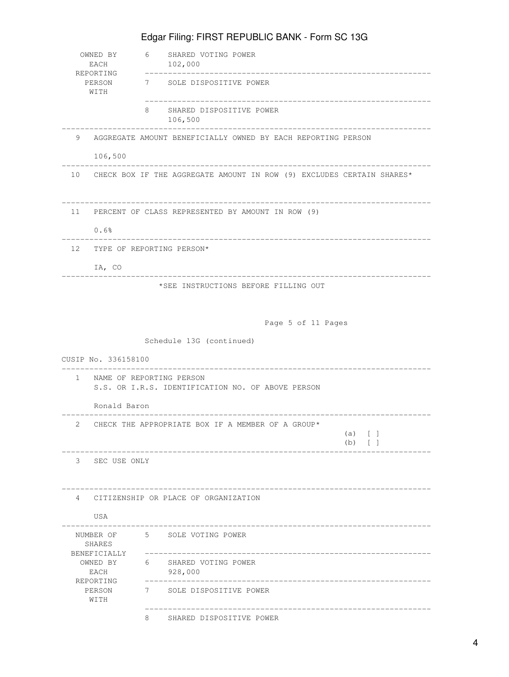| OWNED BY<br>EACH                           | 6                                                                        | SHARED VOTING POWER<br>102,000                                                      |  |  |  |  |  |
|--------------------------------------------|--------------------------------------------------------------------------|-------------------------------------------------------------------------------------|--|--|--|--|--|
| REPORTING<br>PERSON<br>WITH                |                                                                          | 7 SOLE DISPOSITIVE POWER                                                            |  |  |  |  |  |
|                                            | 8                                                                        | SHARED DISPOSITIVE POWER<br>106,500                                                 |  |  |  |  |  |
| 9<br>106,500                               |                                                                          | AGGREGATE AMOUNT BENEFICIALLY OWNED BY EACH REPORTING PERSON                        |  |  |  |  |  |
|                                            | 10 CHECK BOX IF THE AGGREGATE AMOUNT IN ROW (9) EXCLUDES CERTAIN SHARES* |                                                                                     |  |  |  |  |  |
| 0.6%                                       |                                                                          | 11 PERCENT OF CLASS REPRESENTED BY AMOUNT IN ROW (9)                                |  |  |  |  |  |
| 12 TYPE OF REPORTING PERSON*               |                                                                          |                                                                                     |  |  |  |  |  |
| IA, CO                                     |                                                                          |                                                                                     |  |  |  |  |  |
|                                            |                                                                          | *SEE INSTRUCTIONS BEFORE FILLING OUT<br>Page 5 of 11 Pages                          |  |  |  |  |  |
|                                            |                                                                          | Schedule 13G (continued)                                                            |  |  |  |  |  |
| CUSIP No. 336158100                        |                                                                          |                                                                                     |  |  |  |  |  |
| 1 NAME OF REPORTING PERSON                 |                                                                          | S.S. OR I.R.S. IDENTIFICATION NO. OF ABOVE PERSON                                   |  |  |  |  |  |
|                                            | Ronald Baron                                                             |                                                                                     |  |  |  |  |  |
|                                            |                                                                          | 2 CHECK THE APPROPRIATE BOX IF A MEMBER OF A GROUP*<br>(a) [ ]<br>(b)<br>$\lceil$ 1 |  |  |  |  |  |
| 3<br>SEC USE ONLY                          |                                                                          |                                                                                     |  |  |  |  |  |
| $\overline{4}$<br>USA                      |                                                                          | CITIZENSHIP OR PLACE OF ORGANIZATION                                                |  |  |  |  |  |
|                                            |                                                                          |                                                                                     |  |  |  |  |  |
| NUMBER OF<br><b>SHARES</b><br>BENEFICIALLY |                                                                          | 5 SOLE VOTING POWER<br>-----------------------                                      |  |  |  |  |  |
| OWNED BY<br>EACH                           |                                                                          | 6 SHARED VOTING POWER<br>928,000                                                    |  |  |  |  |  |
| REPORTING<br>PERSON<br>WITH                |                                                                          | 7 SOLE DISPOSITIVE POWER                                                            |  |  |  |  |  |
|                                            | 8                                                                        | SHARED DISPOSITIVE POWER                                                            |  |  |  |  |  |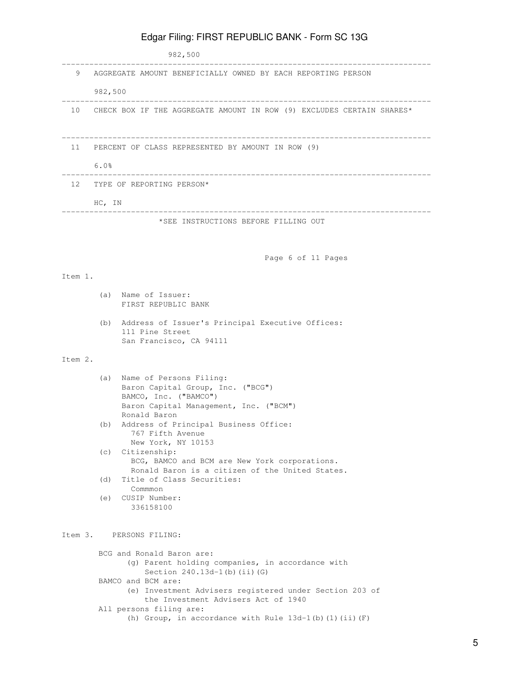|         |         | 982,500                                                                                          |
|---------|---------|--------------------------------------------------------------------------------------------------|
| 9       |         | AGGREGATE AMOUNT BENEFICIALLY OWNED BY EACH REPORTING PERSON                                     |
|         | 982,500 |                                                                                                  |
|         |         |                                                                                                  |
|         |         | 10 CHECK BOX IF THE AGGREGATE AMOUNT IN ROW (9) EXCLUDES CERTAIN SHARES*                         |
|         |         |                                                                                                  |
| 11      |         | PERCENT OF CLASS REPRESENTED BY AMOUNT IN ROW (9)                                                |
|         | 6.0%    |                                                                                                  |
|         |         | 12 TYPE OF REPORTING PERSON*                                                                     |
|         |         |                                                                                                  |
|         | HC, IN  |                                                                                                  |
|         |         | *SEE INSTRUCTIONS BEFORE FILLING OUT                                                             |
|         |         |                                                                                                  |
|         |         | Page 6 of 11 Pages                                                                               |
|         |         |                                                                                                  |
| Item 1. |         |                                                                                                  |
|         |         | (a) Name of Issuer:                                                                              |
|         |         | FIRST REPUBLIC BANK                                                                              |
|         |         | (b) Address of Issuer's Principal Executive Offices:<br>111 Pine Street                          |
|         |         | San Francisco, CA 94111                                                                          |
| Item 2. |         |                                                                                                  |
|         | (a)     | Name of Persons Filing:                                                                          |
|         |         | Baron Capital Group, Inc. ("BCG")                                                                |
|         |         | BAMCO, Inc. ("BAMCO")<br>Baron Capital Management, Inc. ("BCM")                                  |
|         |         | Ronald Baron                                                                                     |
|         | (b)     | Address of Principal Business Office:<br>767 Fifth Avenue                                        |
|         |         | New York, NY 10153                                                                               |
|         | (C)     | Citizenship:                                                                                     |
|         |         | BCG, BAMCO and BCM are New York corporations.<br>Ronald Baron is a citizen of the United States. |
|         | (d)     | Title of Class Securities:                                                                       |
|         | (e)     | Commmon<br>CUSIP Number:                                                                         |
|         |         | 336158100                                                                                        |
|         |         |                                                                                                  |
| Item 3. |         | PERSONS FILING:                                                                                  |
|         |         | BCG and Ronald Baron are:                                                                        |
|         |         | (g) Parent holding companies, in accordance with<br>Section 240.13d-1(b)(ii)(G)                  |
|         |         | BAMCO and BCM are:                                                                               |
|         |         | (e) Investment Advisers registered under Section 203 of                                          |

 the Investment Advisers Act of 1940 All persons filing are: (h) Group, in accordance with Rule 13d-1(b)(1)(ii)(F)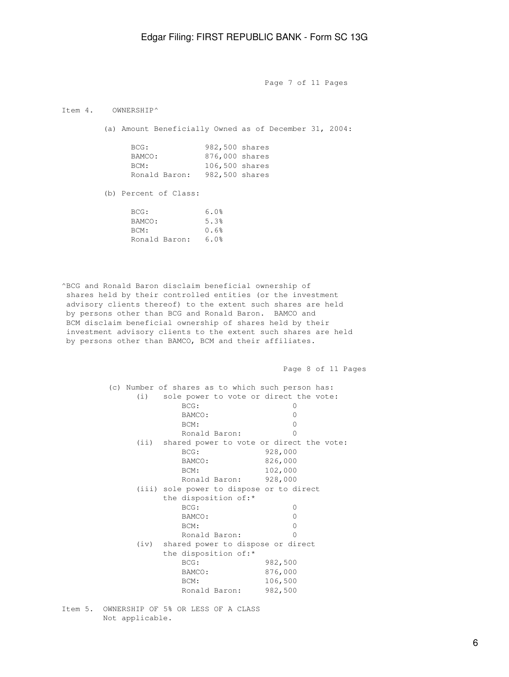Page 7 of 11 Pages

Item 4. OWNERSHIP^

(a) Amount Beneficially Owned as of December 31, 2004:

| BCG:   |               | 982,500 shares |  |
|--------|---------------|----------------|--|
| BAMCO: |               | 876,000 shares |  |
| BCM:   |               | 106,500 shares |  |
|        | Ronald Baron: | 982,500 shares |  |

(b) Percent of Class:

| BCG:          | 6.0% |
|---------------|------|
| BAMCO:        | 5.3% |
| BCM:          | 0.6% |
| Ronald Baron: | 6.0% |

^BCG and Ronald Baron disclaim beneficial ownership of shares held by their controlled entities (or the investment advisory clients thereof) to the extent such shares are held by persons other than BCG and Ronald Baron. BAMCO and BCM disclaim beneficial ownership of shares held by their investment advisory clients to the extent such shares are held by persons other than BAMCO, BCM and their affiliates.

Page 8 of 11 Pages

|       | (c) Number of shares as to which such person has: |                                          |
|-------|---------------------------------------------------|------------------------------------------|
| (i)   | sole power to vote or direct the vote:            |                                          |
|       | BCG:                                              |                                          |
|       | BAMCO:                                            |                                          |
|       | BCM:                                              |                                          |
|       | Ronald Baron:                                     | $\cap$                                   |
| (iii) |                                                   | shared power to vote or direct the vote: |
|       | BCG:                                              | 928,000                                  |
|       | BAMCO:                                            | 826,000                                  |
|       | BCM:                                              | 102,000                                  |
|       | Ronald Baron:                                     | 928,000                                  |
|       | (iii) sole power to dispose or to direct          |                                          |
|       | the disposition of:*                              |                                          |
|       | BCG:                                              | $\Omega$                                 |
|       | BAMCO:                                            |                                          |
|       | BCM:                                              |                                          |
|       | Ronald Baron:                                     |                                          |
| (iv)  | shared power to dispose or direct                 |                                          |
|       | the disposition of:*                              |                                          |
|       | BCG:                                              | 982,500                                  |
|       | BAMCO:                                            | 876,000                                  |
|       | BCM:                                              | 106,500                                  |
|       | Ronald Baron:                                     | 982,500                                  |
|       |                                                   |                                          |

Item 5. OWNERSHIP OF 5% OR LESS OF A CLASS Not applicable.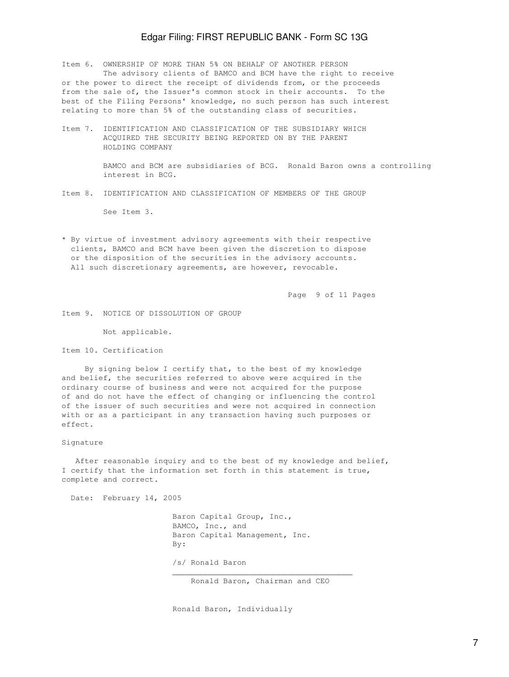Item 6. OWNERSHIP OF MORE THAN 5% ON BEHALF OF ANOTHER PERSON The advisory clients of BAMCO and BCM have the right to receive or the power to direct the receipt of dividends from, or the proceeds from the sale of, the Issuer's common stock in their accounts. To the best of the Filing Persons' knowledge, no such person has such interest relating to more than 5% of the outstanding class of securities.

Item 7. IDENTIFICATION AND CLASSIFICATION OF THE SUBSIDIARY WHICH ACQUIRED THE SECURITY BEING REPORTED ON BY THE PARENT HOLDING COMPANY

> BAMCO and BCM are subsidiaries of BCG. Ronald Baron owns a controlling interest in BCG.

Item 8. IDENTIFICATION AND CLASSIFICATION OF MEMBERS OF THE GROUP

See Item 3.

\* By virtue of investment advisory agreements with their respective clients, BAMCO and BCM have been given the discretion to dispose or the disposition of the securities in the advisory accounts. All such discretionary agreements, are however, revocable.

Page 9 of 11 Pages

Item 9. NOTICE OF DISSOLUTION OF GROUP

Not applicable.

Item 10. Certification

 By signing below I certify that, to the best of my knowledge and belief, the securities referred to above were acquired in the ordinary course of business and were not acquired for the purpose of and do not have the effect of changing or influencing the control of the issuer of such securities and were not acquired in connection with or as a participant in any transaction having such purposes or effect.

Signature

After reasonable inquiry and to the best of my knowledge and belief, I certify that the information set forth in this statement is true, complete and correct.

Date: February 14, 2005

 Baron Capital Group, Inc., BAMCO, Inc., and Baron Capital Management, Inc. By: /s/ Ronald Baron  $\mathcal{L}_\mathcal{L}$  , which is a set of the set of the set of the set of the set of the set of the set of the set of the set of the set of the set of the set of the set of the set of the set of the set of the set of the set of

Ronald Baron, Chairman and CEO

Ronald Baron, Individually